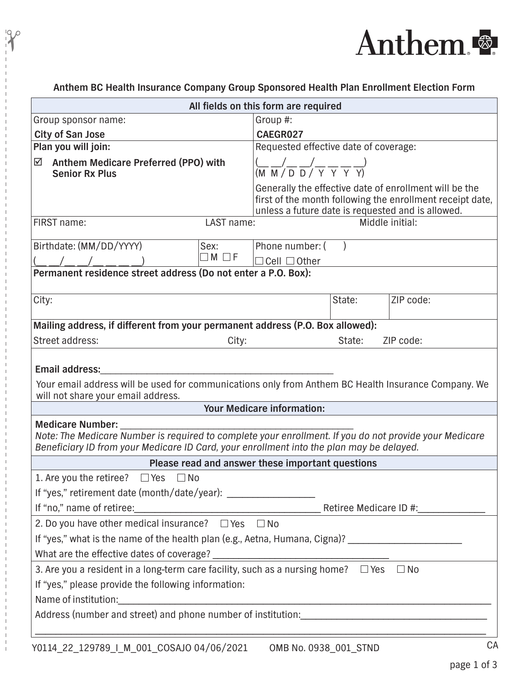

**Anthem BC Health Insurance Company Group Sponsored Health Plan Enrollment Election Form** 

 $\frac{10}{10}$ 

| All fields on this form are required                                                                                                                                                                                          |                                                                                                                                                                          |        |           |  |
|-------------------------------------------------------------------------------------------------------------------------------------------------------------------------------------------------------------------------------|--------------------------------------------------------------------------------------------------------------------------------------------------------------------------|--------|-----------|--|
| Group sponsor name:                                                                                                                                                                                                           | Group #:                                                                                                                                                                 |        |           |  |
| <b>City of San Jose</b>                                                                                                                                                                                                       | CAEGR027                                                                                                                                                                 |        |           |  |
| Plan you will join:                                                                                                                                                                                                           | Requested effective date of coverage:                                                                                                                                    |        |           |  |
| ☑<br><b>Anthem Medicare Preferred (PPO) with</b><br><b>Senior Rx Plus</b>                                                                                                                                                     | $\frac{(-1)^{n} (1 - 1)^{n}}{n (1 - 1)^{n} (1 - 1)^{n}}$                                                                                                                 |        |           |  |
|                                                                                                                                                                                                                               | Generally the effective date of enrollment will be the<br>first of the month following the enrollment receipt date,<br>unless a future date is requested and is allowed. |        |           |  |
| FIRST name:<br>LAST name:                                                                                                                                                                                                     | Middle initial:                                                                                                                                                          |        |           |  |
| Birthdate: (MM/DD/YYYY)<br>Sex:                                                                                                                                                                                               | Phone number: (                                                                                                                                                          |        |           |  |
| $\Box M \Box F$                                                                                                                                                                                                               | $\Box$ Cell $\Box$ Other                                                                                                                                                 |        |           |  |
| Permanent residence street address (Do not enter a P.O. Box):                                                                                                                                                                 |                                                                                                                                                                          |        |           |  |
| City:                                                                                                                                                                                                                         |                                                                                                                                                                          | State: | ZIP code: |  |
| Mailing address, if different from your permanent address (P.O. Box allowed):                                                                                                                                                 |                                                                                                                                                                          |        |           |  |
| Street address:<br>City:                                                                                                                                                                                                      |                                                                                                                                                                          | State: | ZIP code: |  |
| <b>Email address:</b><br>Your email address will be used for communications only from Anthem BC Health Insurance Company. We<br>will not share your email address.                                                            |                                                                                                                                                                          |        |           |  |
| <b>Your Medicare information:</b>                                                                                                                                                                                             |                                                                                                                                                                          |        |           |  |
| <b>Medicare Number:</b><br>Note: The Medicare Number is required to complete your enrollment. If you do not provide your Medicare<br>Beneficiary ID from your Medicare ID Card, your enrollment into the plan may be delayed. |                                                                                                                                                                          |        |           |  |
| Please read and answer these important questions                                                                                                                                                                              |                                                                                                                                                                          |        |           |  |
| 1. Are you the retiree?<br>$\Box$ Yes<br>$\Box$ No                                                                                                                                                                            |                                                                                                                                                                          |        |           |  |
| If "yes," retirement date (month/date/year): ___________________________________                                                                                                                                              |                                                                                                                                                                          |        |           |  |
|                                                                                                                                                                                                                               |                                                                                                                                                                          |        |           |  |
| 2. Do you have other medical insurance? $\Box$ Yes $\Box$ No                                                                                                                                                                  |                                                                                                                                                                          |        |           |  |
| If "yes," what is the name of the health plan (e.g., Aetna, Humana, Cigna)? ________________________                                                                                                                          |                                                                                                                                                                          |        |           |  |
|                                                                                                                                                                                                                               |                                                                                                                                                                          |        |           |  |
| 3. Are you a resident in a long-term care facility, such as a nursing home? $\Box$ Yes $\Box$ No                                                                                                                              |                                                                                                                                                                          |        |           |  |
| If "yes," please provide the following information:                                                                                                                                                                           |                                                                                                                                                                          |        |           |  |
|                                                                                                                                                                                                                               |                                                                                                                                                                          |        |           |  |
|                                                                                                                                                                                                                               |                                                                                                                                                                          |        |           |  |
|                                                                                                                                                                                                                               |                                                                                                                                                                          |        |           |  |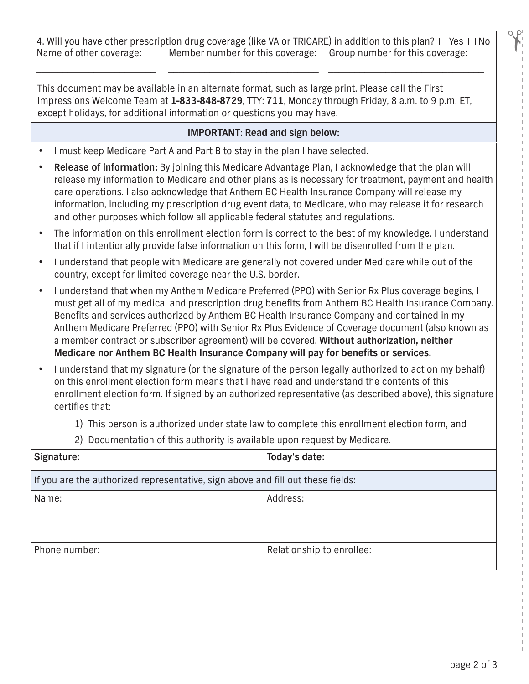4. Will you have other prescription drug coverage (like VA or TRICARE) in addition to this plan?  $\Box$  Yes  $\Box$  No Name of other coverage: Member number for this coverage  $\Box$  No Member number for this coverage: Group number for this coverage:

\_\_\_\_\_\_\_\_\_\_\_\_\_\_\_\_\_\_\_\_\_\_\_ \_\_\_\_\_\_\_\_\_\_\_\_\_\_\_\_\_\_\_\_\_\_\_\_\_\_\_\_\_ \_\_\_\_\_\_\_\_\_\_\_\_\_\_\_\_\_\_\_\_\_\_\_\_\_\_\_\_\_\_

This document may be available in an alternate format, such as large print. Please call the First Impressions Welcome Team at **1-833-848-8729**, TTY: **711**, Monday through Friday, 8 a.m. to 9 p.m. ET, except holidays, for additional information or questions you may have.

## **IMPORTANT: Read and sign below:**

- I must keep Medicare Part A and Part B to stay in the plan I have selected.
- **Release of information:** By joining this Medicare Advantage Plan, I acknowledge that the plan will release my information to Medicare and other plans as is necessary for treatment, payment and health care operations. I also acknowledge that Anthem BC Health Insurance Company will release my information, including my prescription drug event data, to Medicare, who may release it for research and other purposes which follow all applicable federal statutes and regulations.
- The information on this enrollment election form is correct to the best of my knowledge. I understand that if I intentionally provide false information on this form, I will be disenrolled from the plan.
- I understand that people with Medicare are generally not covered under Medicare while out of the country, except for limited coverage near the U.S. border.
- I understand that when my Anthem Medicare Preferred (PPO) with Senior Rx Plus coverage begins, I must get all of my medical and prescription drug benefits from Anthem BC Health Insurance Company. Benefits and services authorized by Anthem BC Health Insurance Company and contained in my Anthem Medicare Preferred (PPO) with Senior Rx Plus Evidence of Coverage document (also known as a member contract or subscriber agreement) will be covered. **Without authorization, neither Medicare nor Anthem BC Health Insurance Company will pay for benefits or services.**
- I understand that my signature (or the signature of the person legally authorized to act on my behalf) on this enrollment election form means that I have read and understand the contents of this enrollment election form. If signed by an authorized representative (as described above), this signature certifies that:
	- 1) This person is authorized under state law to complete this enrollment election form, and
	- 2) Documentation of this authority is available upon request by Medicare.

| Signature:                                                                      | Today's date:             |  |
|---------------------------------------------------------------------------------|---------------------------|--|
| If you are the authorized representative, sign above and fill out these fields: |                           |  |
| Name:                                                                           | Address:                  |  |
| Phone number:                                                                   | Relationship to enrollee: |  |